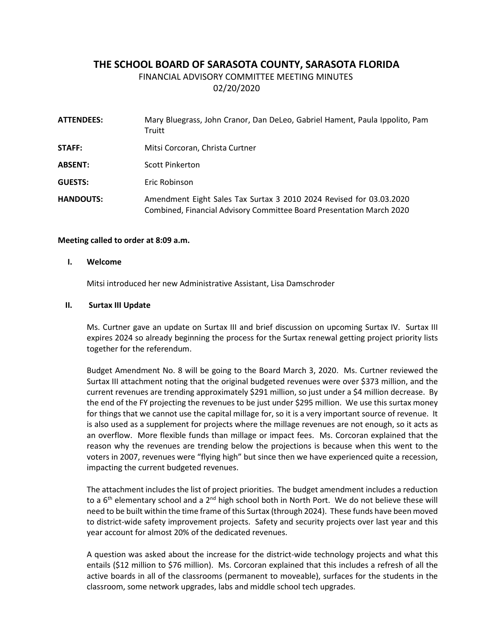# **THE SCHOOL BOARD OF SARASOTA COUNTY, SARASOTA FLORIDA**

FINANCIAL ADVISORY COMMITTEE MEETING MINUTES

02/20/2020

| <b>ATTENDEES:</b> | Mary Bluegrass, John Cranor, Dan DeLeo, Gabriel Hament, Paula Ippolito, Pam<br>Truitt                                                       |
|-------------------|---------------------------------------------------------------------------------------------------------------------------------------------|
| STAFF:            | Mitsi Corcoran, Christa Curtner                                                                                                             |
| <b>ABSENT:</b>    | <b>Scott Pinkerton</b>                                                                                                                      |
| <b>GUESTS:</b>    | Eric Robinson                                                                                                                               |
| <b>HANDOUTS:</b>  | Amendment Eight Sales Tax Surtax 3 2010 2024 Revised for 03.03.2020<br>Combined, Financial Advisory Committee Board Presentation March 2020 |

## **Meeting called to order at 8:09 a.m.**

### **I. Welcome**

Mitsi introduced her new Administrative Assistant, Lisa Damschroder

## **II. Surtax III Update**

Ms. Curtner gave an update on Surtax III and brief discussion on upcoming Surtax IV. Surtax III expires 2024 so already beginning the process for the Surtax renewal getting project priority lists together for the referendum.

Budget Amendment No. 8 will be going to the Board March 3, 2020. Ms. Curtner reviewed the Surtax III attachment noting that the original budgeted revenues were over \$373 million, and the current revenues are trending approximately \$291 million, so just under a \$4 million decrease. By the end of the FY projecting the revenues to be just under \$295 million. We use this surtax money for things that we cannot use the capital millage for, so it is a very important source of revenue. It is also used as a supplement for projects where the millage revenues are not enough, so it acts as an overflow. More flexible funds than millage or impact fees. Ms. Corcoran explained that the reason why the revenues are trending below the projections is because when this went to the voters in 2007, revenues were "flying high" but since then we have experienced quite a recession, impacting the current budgeted revenues.

The attachment includes the list of project priorities. The budget amendment includes a reduction to a  $6<sup>th</sup>$  elementary school and a  $2<sup>nd</sup>$  high school both in North Port. We do not believe these will need to be built within the time frame of this Surtax (through 2024). These funds have been moved to district-wide safety improvement projects. Safety and security projects over last year and this year account for almost 20% of the dedicated revenues.

A question was asked about the increase for the district-wide technology projects and what this entails (\$12 million to \$76 million). Ms. Corcoran explained that this includes a refresh of all the active boards in all of the classrooms (permanent to moveable), surfaces for the students in the classroom, some network upgrades, labs and middle school tech upgrades.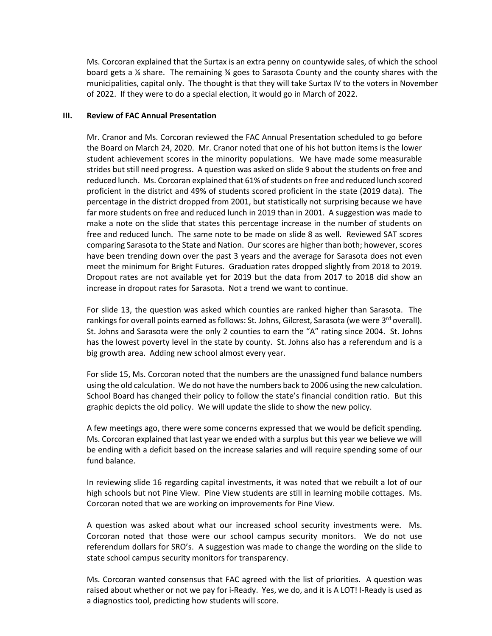Ms. Corcoran explained that the Surtax is an extra penny on countywide sales, of which the school board gets a ¼ share. The remaining ¾ goes to Sarasota County and the county shares with the municipalities, capital only. The thought is that they will take Surtax IV to the voters in November of 2022. If they were to do a special election, it would go in March of 2022.

## **III. Review of FAC Annual Presentation**

Mr. Cranor and Ms. Corcoran reviewed the FAC Annual Presentation scheduled to go before the Board on March 24, 2020. Mr. Cranor noted that one of his hot button items is the lower student achievement scores in the minority populations. We have made some measurable strides but still need progress. A question was asked on slide 9 about the students on free and reduced lunch. Ms. Corcoran explained that 61% of students on free and reduced lunch scored proficient in the district and 49% of students scored proficient in the state (2019 data). The percentage in the district dropped from 2001, but statistically not surprising because we have far more students on free and reduced lunch in 2019 than in 2001. A suggestion was made to make a note on the slide that states this percentage increase in the number of students on free and reduced lunch. The same note to be made on slide 8 as well. Reviewed SAT scores comparing Sarasota to the State and Nation. Our scores are higher than both; however, scores have been trending down over the past 3 years and the average for Sarasota does not even meet the minimum for Bright Futures. Graduation rates dropped slightly from 2018 to 2019. Dropout rates are not available yet for 2019 but the data from 2017 to 2018 did show an increase in dropout rates for Sarasota. Not a trend we want to continue.

For slide 13, the question was asked which counties are ranked higher than Sarasota. The rankings for overall points earned as follows: St. Johns, Gilcrest, Sarasota (we were  $3^{rd}$  overall). St. Johns and Sarasota were the only 2 counties to earn the "A" rating since 2004. St. Johns has the lowest poverty level in the state by county. St. Johns also has a referendum and is a big growth area. Adding new school almost every year.

For slide 15, Ms. Corcoran noted that the numbers are the unassigned fund balance numbers using the old calculation. We do not have the numbers back to 2006 using the new calculation. School Board has changed their policy to follow the state's financial condition ratio. But this graphic depicts the old policy. We will update the slide to show the new policy.

A few meetings ago, there were some concerns expressed that we would be deficit spending. Ms. Corcoran explained that last year we ended with a surplus but this year we believe we will be ending with a deficit based on the increase salaries and will require spending some of our fund balance.

In reviewing slide 16 regarding capital investments, it was noted that we rebuilt a lot of our high schools but not Pine View. Pine View students are still in learning mobile cottages. Ms. Corcoran noted that we are working on improvements for Pine View.

A question was asked about what our increased school security investments were. Ms. Corcoran noted that those were our school campus security monitors. We do not use referendum dollars for SRO's. A suggestion was made to change the wording on the slide to state school campus security monitors for transparency.

Ms. Corcoran wanted consensus that FAC agreed with the list of priorities. A question was raised about whether or not we pay for i-Ready. Yes, we do, and it is A LOT! I-Ready is used as a diagnostics tool, predicting how students will score.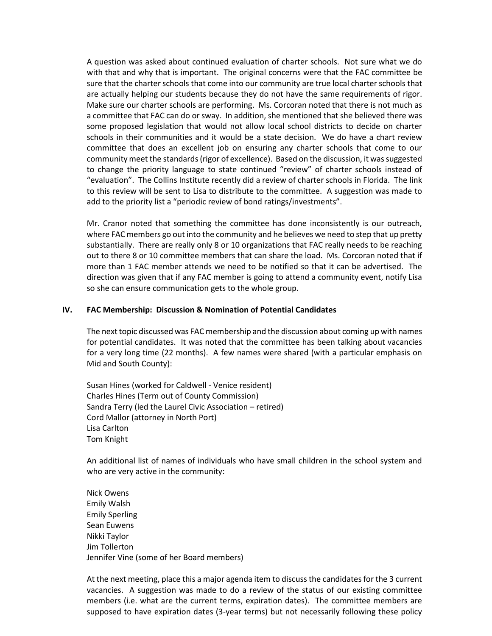A question was asked about continued evaluation of charter schools. Not sure what we do with that and why that is important. The original concerns were that the FAC committee be sure that the charter schools that come into our community are true local charter schools that are actually helping our students because they do not have the same requirements of rigor. Make sure our charter schools are performing. Ms. Corcoran noted that there is not much as a committee that FAC can do or sway. In addition, she mentioned that she believed there was some proposed legislation that would not allow local school districts to decide on charter schools in their communities and it would be a state decision. We do have a chart review committee that does an excellent job on ensuring any charter schools that come to our community meet the standards (rigor of excellence). Based on the discussion, it was suggested to change the priority language to state continued "review" of charter schools instead of "evaluation". The Collins Institute recently did a review of charter schools in Florida. The link to this review will be sent to Lisa to distribute to the committee. A suggestion was made to add to the priority list a "periodic review of bond ratings/investments".

Mr. Cranor noted that something the committee has done inconsistently is our outreach, where FAC members go out into the community and he believes we need to step that up pretty substantially. There are really only 8 or 10 organizations that FAC really needs to be reaching out to there 8 or 10 committee members that can share the load. Ms. Corcoran noted that if more than 1 FAC member attends we need to be notified so that it can be advertised. The direction was given that if any FAC member is going to attend a community event, notify Lisa so she can ensure communication gets to the whole group.

## **IV. FAC Membership: Discussion & Nomination of Potential Candidates**

The next topic discussed was FAC membership and the discussion about coming up with names for potential candidates. It was noted that the committee has been talking about vacancies for a very long time (22 months). A few names were shared (with a particular emphasis on Mid and South County):

Susan Hines (worked for Caldwell - Venice resident) Charles Hines (Term out of County Commission) Sandra Terry (led the Laurel Civic Association – retired) Cord Mallor (attorney in North Port) Lisa Carlton Tom Knight

An additional list of names of individuals who have small children in the school system and who are very active in the community:

Nick Owens Emily Walsh Emily Sperling Sean Euwens Nikki Taylor Jim Tollerton Jennifer Vine (some of her Board members)

At the next meeting, place this a major agenda item to discuss the candidates for the 3 current vacancies. A suggestion was made to do a review of the status of our existing committee members (i.e. what are the current terms, expiration dates). The committee members are supposed to have expiration dates (3-year terms) but not necessarily following these policy